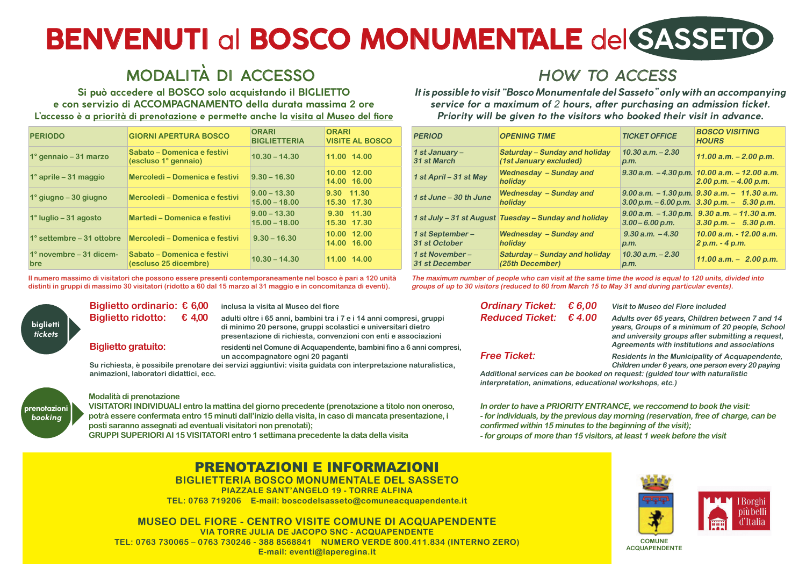# **BENVENUTI** al **BOSCO MONUMENTALE** del **SASSETO**

## MODALITÀ DI ACCESSO HOW TO ACCESS

**Si può accedere al BOSCO solo acquistando il BIGLIETTO e con servizio di ACCOMPAGNAMENTO della durata massima 2 ore L'accesso è a priorità di prenotazione e permette anche la visita al Museo del fiore**

### **It is possible to visit "Bosco Monumentale del Sasseto" only with an accompanying service for a maximum of** 2 **hours, after purchasing an admission ticket. Priority will be given to the visitors who booked their visit in advance.**

| <b>PERIODO</b>                        | <b>GIORNI APERTURA BOSCO</b>                         | <b>ORARI</b><br><b>BIGLIETTERIA</b> | <b>ORARI</b><br><b>VISITE AL BOSCO</b> | <b>PERIOD</b>                     | <b>OPENING TIME</b>                                            | <b>TICKET OFFICE</b>                                                                          | <b>BOSCO VISITING</b><br><b>HOURS</b> |
|---------------------------------------|------------------------------------------------------|-------------------------------------|----------------------------------------|-----------------------------------|----------------------------------------------------------------|-----------------------------------------------------------------------------------------------|---------------------------------------|
| 1° gennaio – 31 marzo                 | Sabato – Domenica e festivi<br>(escluso 1° gennaio)  | $10.30 - 14.30$                     | 11.00 14.00                            | 1 st January –<br>31 st March     | <b>Saturday – Sunday and holiday</b><br>(1st January excluded) | $10.30$ a.m. $-2.30$<br>$\bm{\beta}$ .M.                                                      | 11.00 $a.m. - 2.00$                   |
| $1^\circ$ aprile – 31 maggio          | Mercoledì – Domenica e festivi                       | $9.30 - 16.30$                      | 10.00 12.00<br>14.00 16.00             | 1 st April - 31 st May            | <b>Wednesday - Sunday and</b><br><b>holiday</b>                | $9.30$ a.m. $-4.30$ p.m. $10.00$ a.m. $-12.00$                                                | $2.00$ p.m. $-4.00$ p.                |
| 1° giugno – 30 giugno                 | Mercoledì – Domenica e festivi                       | $ 9.00 - 13.30 $<br>$15.00 - 18.00$ | 9.30 11.30<br>15.30 17.30              | 1 st June - 30 th June            | <b>Wednesday - Sunday and</b><br>holiday                       | $9.00$ a.m. $-1.30$ p.m. $9.30$ a.m. $-11.30$<br>$3.00$ p.m. $-6.00$ p.m. $3.30$ p.m. $-5.30$ |                                       |
| $1^\circ$ luglio – 31 agosto          | Martedì – Domenica e festivi                         | $9.00 - 13.30$<br>$15.00 - 18.00$   | 9.30 11.30<br>15.30 17.30              |                                   | 1 st July – 31 st August Tuesday – Sunday and holiday          | $9.00$ a.m. $-1.30$ p.m. $9.30$ a.m. $-11.30$<br>$3.00 - 6.00$ p.m.                           | $3.30$ p.m. $-$ 5.30                  |
| 1° settembre – 31 ottobre             | Mercoledì – Domenica e festivi                       | $9.30 - 16.30$                      | 10.00 12.00<br>14.00 16.00             | 1 st September –<br>31 st October | <b>Wednesday - Sunday and</b><br>  holiday                     | $9.30$ a.m. $-4.30$<br>p.m.                                                                   | 10.00 a.m. - 12.00<br>2 p.m. - 4 p.m. |
| 1° novembre – 31 dicem-<br><b>bre</b> | Sabato – Domenica e festivi<br>(escluso 25 dicembre) | $10.30 - 14.30$                     | 11.00 14.00                            | 1 st November –<br>31 st December | <b>Saturday – Sunday and holiday</b><br>(25th December)        | $10.30$ a.m. $-2.30$<br>p.m.                                                                  | $11.00$ a.m. $-$ 2.00                 |



**Il numero massimo di visitatori che possono essere presenti contemporaneamente nel bosco è pari a 120 unità distinti in gruppi di massimo 30 visitatori (ridotto a 60 dal 15 marzo al 31 maggio e in concomitanza di eventi). The maximum number of people who can visit at the same time the wood is equal to 120 units, divided into groups of up to 30 visitors (reduced to 60 from March 15 to May 31 and during particular events).**

#### **Modalità di prenotazione**

**VISITATORI INDIVIDUALI entro la mattina del giorno precedente (prenotazione a titolo non oneroso, potrà essere confermata entro 15 minuti dall'inizio della visita, in caso di mancata presentazione, i posti saranno assegnati ad eventuali visitatori non prenotati); GRUPPI SUPERIORI AI 15 VISITATORI entro 1 settimana precedente la data della visita**

**Biglietto ordinario: € 6,00 inclusa la visita al Museo del fiore**

**Biglietto ridotto: € 4,00 adulti oltre i 65 anni, bambini tra i 7 e i 14 anni compresi, gruppi di minimo 20 persone, gruppi scolastici e universitari dietro presentazione di richiesta, convenzioni con enti e associazioni Biglietto gratuito: residenti nel Comune di Acquapendente, bambini fino a 6 anni compresi,**

 **un accompagnatore ogni 20 paganti**

**Su richiesta, è possibile prenotare dei servizi aggiuntivi: visita guidata con interpretazione naturalistica, animazioni, laboratori didattici, ecc.**

**Ordinary Ticket: € 6,00 Visit to Museo del Fiore included**

**Reduced Ticket: € 4.00 Adults over 65 years, Children between 7 and 14 years, Groups of a minimum of 20 people, School and university groups after submitting a request, Agreements with institutions and associations Free Ticket:** Residents in the Municipality of Acquapendente,  **Children under 6 years, one person every 20 paying Additional services can be booked on request: (guided tour with naturalistic** 



**interpretation, animations, educational workshops, etc.)**

**In order to have a PRIORITY ENTRANCE, we reccomend to book the visit: - for individuals, by the previous day morning (reservation, free of charge, can be confirmed within 15 minutes to the beginning of the visit); - for groups of more than 15 visitors, at least 1 week before the visit**





PRENOTAZIONI E INFORMAZIONI

**BIGLIETTERIA BOSCO MONUMENTALE DEL SASSETO PIAZZALE SANT'ANGELO 19 - TORRE ALFINA TEL: 0763 719206 E-mail: boscodelsasseto@comuneacquapendente.it**

**MUSEO DEL FIORE - CENTRO VISITE COMUNE DI ACQUAPENDENTE VIA TORRE JULIA DE JACOPO SNC - ACQUAPENDENTE TEL: 0763 730065 – 0763 730246 - 388 8568841 NUMERO VERDE 800.411.834 (INTERNO ZERO) E-mail: eventi@laperegina.it**





**ACQUAPENDENTE**